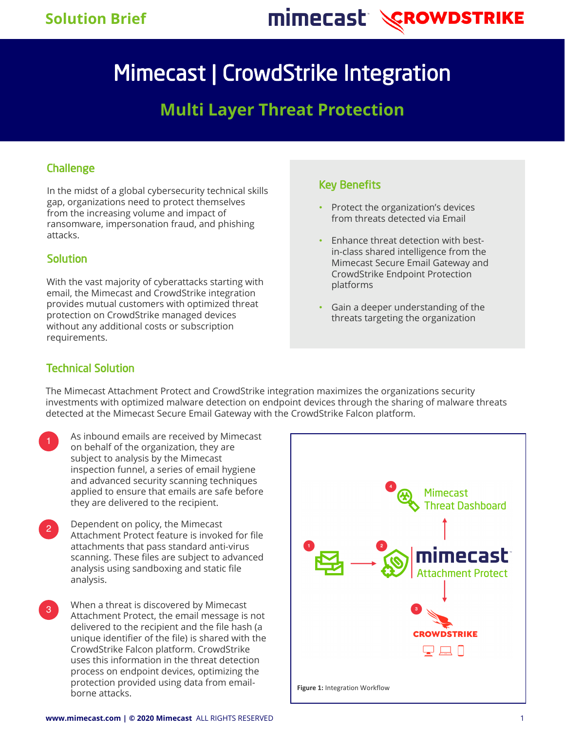# mimecast *CROWDSTRIKE*

# Mimecast | CrowdStrike Integration

## **Multi Layer Threat Protection**

## **Challenge**

In the midst of a global cybersecurity technical skills gap, organizations need to protect themselves from the increasing volume and impact of ransomware, impersonation fraud, and phishing attacks.

### **Solution**

With the vast majority of cyberattacks starting with email, the Mimecast and CrowdStrike integration provides mutual customers with optimized threat protection on CrowdStrike managed devices without any additional costs or subscription requirements.

## Key Benefits

- Protect the organization's devices from threats detected via Email
- Enhance threat detection with bestin-class shared intelligence from the Mimecast Secure Email Gateway and CrowdStrike Endpoint Protection platforms
- Gain a deeper understanding of the threats targeting the organization

## Technical Solution

The Mimecast Attachment Protect and CrowdStrike integration maximizes the organizations security investments with optimized malware detection on endpoint devices through the sharing of malware threats detected at the Mimecast Secure Email Gateway with the CrowdStrike Falcon platform.

- **1** As inbound emails are received by Mimecast on behalf of the organization, they are subject to analysis by the Mimecast inspection funnel, a series of email hygiene and advanced security scanning techniques applied to ensure that emails are safe before they are delivered to the recipient.
- 2 Dependent on policy, the Mimecast Attachment Protect feature is invoked for file attachments that pass standard anti-virus scanning. These files are subject to advanced analysis using sandboxing and static file analysis.
- <sup>3</sup> When a threat is discovered by Mimecast Attachment Protect, the email message is not delivered to the recipient and the file hash (a unique identifier of the file) is shared with the CrowdStrike Falcon platform. CrowdStrike uses this information in the threat detection process on endpoint devices, optimizing the protection provided using data from emailborne attacks. **Figure 1:** Integration Workflow